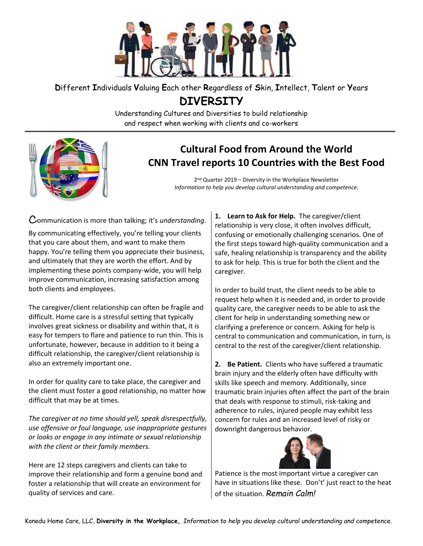

## **D**ifferent **I**ndividuals **V**aluing **E**ach other **R**egardless of **S**kin, **I**ntellect, **T**alent or **Y**ears

**DIVERSITY**

Understanding Cultures and Diversities to build relationship and respect when working with clients and co-workers



## **Cultural Food from Around the World CNN Travel reports 10 Countries with the Best Food**

2<sup>nd</sup> Quarter 2019 – Diversity in the Workplace Newsletter *Information to help you develop cultural understanding and competence.*

Communication is more than talking; it's *understanding*.

By communicating effectively, you're telling your clients that you care about them, and want to make them happy. You're telling them you appreciate their business, and ultimately that they are worth the effort. And by implementing these points company-wide, you will help improve communication, increasing satisfaction among both clients and employees.

The caregiver/client relationship can often be fragile and difficult. Home care is a stressful setting that typically involves great sickness or disability and within that, it is easy for tempers to flare and patience to run thin. This is unfortunate, however, because in addition to it being a difficult relationship, the caregiver/client relationship is also an extremely important one.

In order for quality care to take place, the caregiver and the client must foster a good relationship, no matter how difficult that may be at times.

*The caregiver at no time should yell, speak disrespectfully, use offensive or foul language, use inappropriate gestures or looks or engage in any intimate or sexual relationship with the client or their family members.*

Here are 12 steps caregivers and clients can take to improve their relationship and form a genuine bond and foster a relationship that will create an environment for quality of services and care.

**1. Learn to Ask for Help.** The caregiver/client relationship is very close, it often involves difficult, confusing or emotionally challenging scenarios. One of the first steps toward high-quality communication and a safe, healing relationship is transparency and the ability to ask for help. This is true for both the client and the caregiver.

In order to build trust, the client needs to be able to request help when it is needed and, in order to provide quality care, the caregiver needs to be able to ask the client for help in understanding something new or clarifying a preference or concern. Asking for help is central to communication and communication, in turn, is central to the rest of the caregiver/client relationship.

**2. Be Patient.** Clients who have suffered a traumatic brain injury and the elderly often have difficulty with skills like speech and memory. Additionally, since traumatic brain injuries often affect the part of the brain that deals with response to stimuli, risk-taking and adherence to rules, injured people may exhibit less concern for rules and an increased level of risky or downright dangerous behavior.



Patience is the most important virtue a caregiver can have in situations like these. Don't' just react to the heat of the situation. *Remain Calm!*